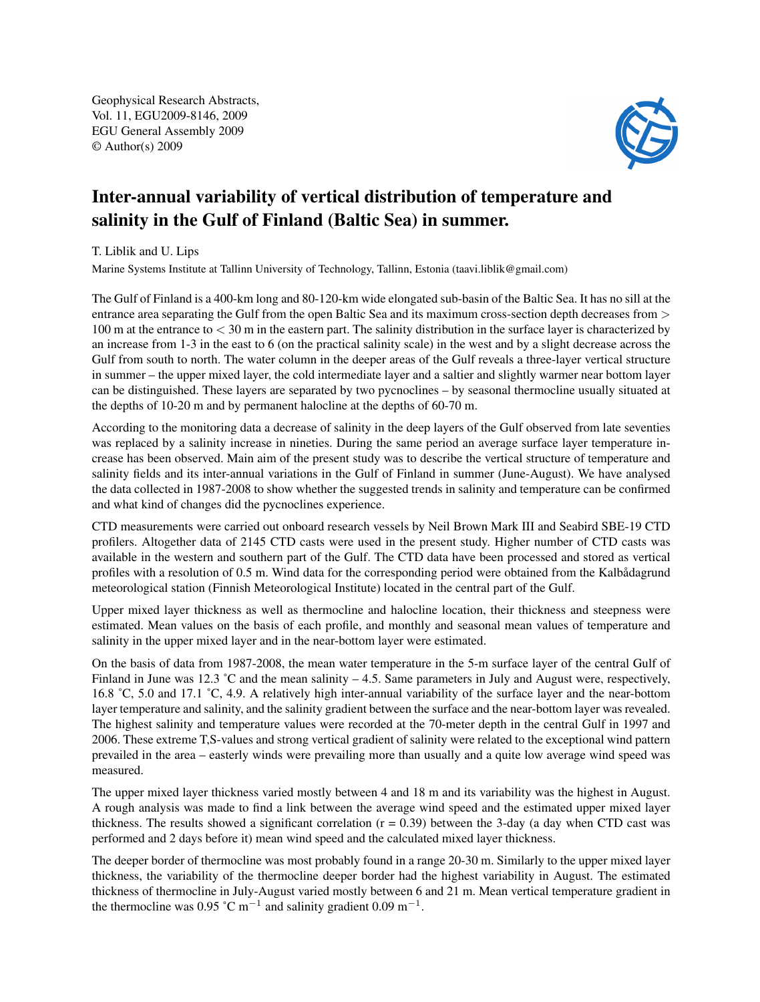Geophysical Research Abstracts, Vol. 11, EGU2009-8146, 2009 EGU General Assembly 2009 © Author(s) 2009



## Inter-annual variability of vertical distribution of temperature and salinity in the Gulf of Finland (Baltic Sea) in summer.

## T. Liblik and U. Lips

Marine Systems Institute at Tallinn University of Technology, Tallinn, Estonia (taavi.liblik@gmail.com)

The Gulf of Finland is a 400-km long and 80-120-km wide elongated sub-basin of the Baltic Sea. It has no sill at the entrance area separating the Gulf from the open Baltic Sea and its maximum cross-section depth decreases from > 100 m at the entrance to < 30 m in the eastern part. The salinity distribution in the surface layer is characterized by an increase from 1-3 in the east to 6 (on the practical salinity scale) in the west and by a slight decrease across the Gulf from south to north. The water column in the deeper areas of the Gulf reveals a three-layer vertical structure in summer – the upper mixed layer, the cold intermediate layer and a saltier and slightly warmer near bottom layer can be distinguished. These layers are separated by two pycnoclines – by seasonal thermocline usually situated at the depths of 10-20 m and by permanent halocline at the depths of 60-70 m.

According to the monitoring data a decrease of salinity in the deep layers of the Gulf observed from late seventies was replaced by a salinity increase in nineties. During the same period an average surface layer temperature increase has been observed. Main aim of the present study was to describe the vertical structure of temperature and salinity fields and its inter-annual variations in the Gulf of Finland in summer (June-August). We have analysed the data collected in 1987-2008 to show whether the suggested trends in salinity and temperature can be confirmed and what kind of changes did the pycnoclines experience.

CTD measurements were carried out onboard research vessels by Neil Brown Mark III and Seabird SBE-19 CTD profilers. Altogether data of 2145 CTD casts were used in the present study. Higher number of CTD casts was available in the western and southern part of the Gulf. The CTD data have been processed and stored as vertical profiles with a resolution of 0.5 m. Wind data for the corresponding period were obtained from the Kalbådagrund meteorological station (Finnish Meteorological Institute) located in the central part of the Gulf.

Upper mixed layer thickness as well as thermocline and halocline location, their thickness and steepness were estimated. Mean values on the basis of each profile, and monthly and seasonal mean values of temperature and salinity in the upper mixed layer and in the near-bottom layer were estimated.

On the basis of data from 1987-2008, the mean water temperature in the 5-m surface layer of the central Gulf of Finland in June was 12.3 °C and the mean salinity – 4.5. Same parameters in July and August were, respectively, 16.8 ˚C, 5.0 and 17.1 ˚C, 4.9. A relatively high inter-annual variability of the surface layer and the near-bottom layer temperature and salinity, and the salinity gradient between the surface and the near-bottom layer was revealed. The highest salinity and temperature values were recorded at the 70-meter depth in the central Gulf in 1997 and 2006. These extreme T,S-values and strong vertical gradient of salinity were related to the exceptional wind pattern prevailed in the area – easterly winds were prevailing more than usually and a quite low average wind speed was measured.

The upper mixed layer thickness varied mostly between 4 and 18 m and its variability was the highest in August. A rough analysis was made to find a link between the average wind speed and the estimated upper mixed layer thickness. The results showed a significant correlation  $(r = 0.39)$  between the 3-day (a day when CTD cast was performed and 2 days before it) mean wind speed and the calculated mixed layer thickness.

The deeper border of thermocline was most probably found in a range 20-30 m. Similarly to the upper mixed layer thickness, the variability of the thermocline deeper border had the highest variability in August. The estimated thickness of thermocline in July-August varied mostly between 6 and 21 m. Mean vertical temperature gradient in the thermocline was 0.95 °C m<sup>-1</sup> and salinity gradient 0.09 m<sup>-1</sup>.